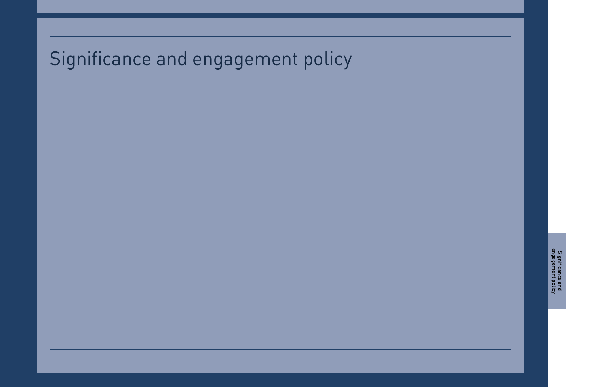# Significance and engagement policy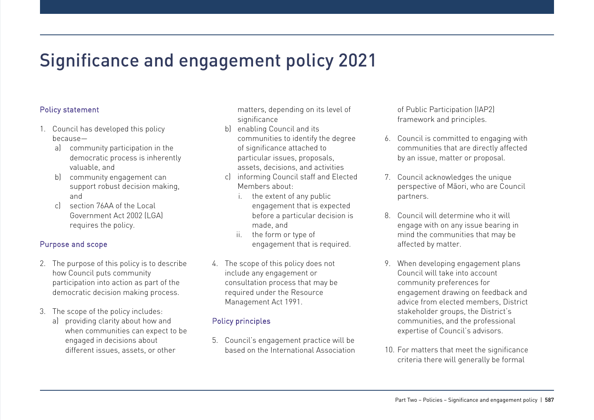## Significance and engagement policy 2021

### Policy statement

- 1. Council has developed this policy because
	- a) community participation in the democratic process is inherently valuable, and
	- b) community engagement can support robust decision making, and
	- c) section 76AA of the Local Government Act 2002 (LGA) requires the policy.

#### Purpose and scope

- 2. The purpose of this policy is to describe how Council puts community participation into action as part of the democratic decision making process.
- 3. The scope of the policy includes:
	- a) providing clarity about how and when communities can expect to be engaged in decisions about different issues, assets, or other

matters, depending on its level of significance

- b) enabling Council and its communities to identify the degree of significance attached to particular issues, proposals, assets, decisions, and activities
- c) informing Council staff and Elected Members about:
	- i. the extent of any public engagement that is expected before a particular decision is made, and
	- ii. the form or type of engagement that is required.
- 4. The scope of this policy does not include any engagement or consultation process that may be required under the Resource Management Act 1991.

### Policy principles

5. Council's engagement practice will be based on the International Association of Public Participation (IAP2) framework and principles.

- 6. Council is committed to engaging with communities that are directly affected by an issue, matter or proposal.
- 7. Council acknowledges the unique perspective of Māori, who are Council partners.
- 8. Council will determine who it will engage with on any issue bearing in mind the communities that may be affected by matter.
- 9. When developing engagement plans Council will take into account community preferences for engagement drawing on feedback and advice from elected members, District stakeholder groups, the District's communities, and the professional expertise of Council's advisors.
- 10. For matters that meet the significance criteria there will generally be formal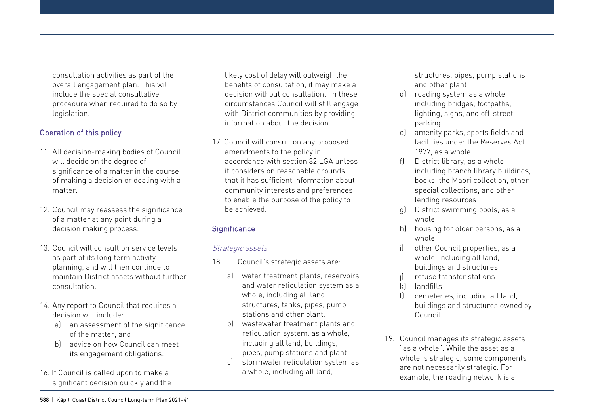consultation activities as part of the overall engagement plan. This will include the special consultative procedure when required to do so by legislation.

#### Operation of this policy

- 11. All decision-making bodies of Council will decide on the degree of significance of a matter in the course of making a decision or dealing with a matter.
- 12. Council may reassess the significance of a matter at any point during a decision making process.
- 13. Council will consult on service levels as part of its long term activity planning, and will then continue to maintain District assets without further consultation.
- 14. Any report to Council that requires a decision will include:
	- a) an assessment of the significance of the matter; and
	- b) advice on how Council can meet its engagement obligations.
- 16. If Council is called upon to make a significant decision quickly and the

likely cost of delay will outweigh the benefits of consultation, it may make a decision without consultation. In these circumstances Council will still engage with District communities by providing information about the decision.

17. Council will consult on any proposed amendments to the policy in accordance with section 82 LGA unless it considers on reasonable grounds that it has sufficient information about community interests and preferences to enable the purpose of the policy to be achieved.

### **Significance**

#### Strategic assets

- 18. Council's strategic assets are:
	- a) water treatment plants, reservoirs and water reticulation system as a whole, including all land, structures, tanks, pipes, pump stations and other plant.
	- b) wastewater treatment plants and reticulation system, as a whole, including all land, buildings, pipes, pump stations and plant
	- c) stormwater reticulation system as a whole, including all land,

structures, pipes, pump stations and other plant

- d) roading system as a whole including bridges, footpaths, lighting, signs, and off-street parking
- e) amenity parks, sports fields and facilities under the Reserves Act 1977, as a whole
- f) District library, as a whole, including branch library buildings, books, the Māori collection, other special collections, and other lending resources
- g) District swimming pools, as a whole
- h) housing for older persons, as a whole
- i) other Council properties, as a whole, including all land, buildings and structures
- refuse transfer stations
- k) landfills
- l) cemeteries, including all land, buildings and structures owned by Council.
- 19. Council manages its strategic assets "as a whole". While the asset as a whole is strategic, some components are not necessarily strategic. For example, the roading network is a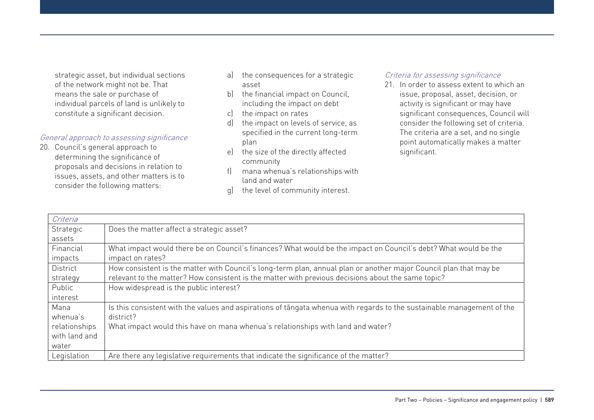strategic asset, but individual sections of the network might not be. That means the sale or purchase of individual parcels of land is unlikely to constitute a significant decision.

#### General approach to assessing significance

20. Council's general approach to determining the significance of proposals and decisions in relation to issues, assets, and other matters is to consider the following matters:

- a) the consequences for a strategic asset
- b) the financial impact on Council, including the impact on debt
- c) the impact on rates
- d) the impact on levels of service, as specified in the current long-term plan
- e) the size of the directly affected community
- f) mana whenua's relationships with land and water
- g) the level of community interest.

#### Criteria for assessing significance

21. In order to assess extent to which an issue, proposal, asset, decision, or activity is significant or may have significant consequences, Council will consider the following set of criteria. The criteria are a set, and no single point automatically makes a matter significant.

| Criteria        |                                                                                                                        |  |
|-----------------|------------------------------------------------------------------------------------------------------------------------|--|
| Strategic       | Does the matter affect a strategic asset?                                                                              |  |
| assets          |                                                                                                                        |  |
| Financial       | What impact would there be on Council's finances? What would be the impact on Council's debt? What would be the        |  |
| impacts         | impact on rates?                                                                                                       |  |
| <b>District</b> | How consistent is the matter with Council's long-term plan, annual plan or another major Council plan that may be      |  |
| strategy        | relevant to the matter? How consistent is the matter with previous decisions about the same topic?                     |  |
| Public          | How widespread is the public interest?                                                                                 |  |
| interest        |                                                                                                                        |  |
| Mana            | Is this consistent with the values and aspirations of tangata whenua with regards to the sustainable management of the |  |
| whenua's        | district?                                                                                                              |  |
| relationships   | What impact would this have on mana whenua's relationships with land and water?                                        |  |
| with land and   |                                                                                                                        |  |
| water           |                                                                                                                        |  |
| Legislation     | Are there any legislative requirements that indicate the significance of the matter?                                   |  |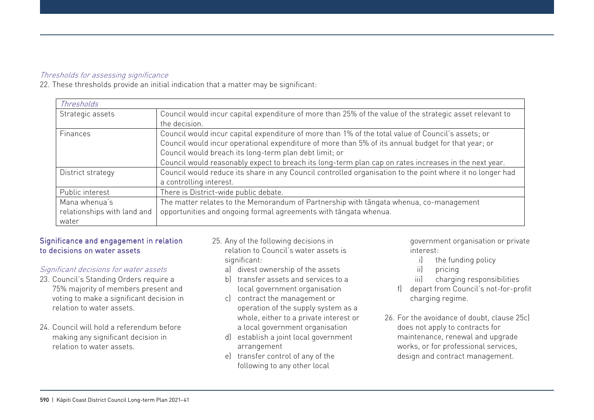#### Thresholds for assessing significance

22. These thresholds provide an initial indication that a matter may be significant:

| Thresholds                                            |                                                                                                                                                                                                                                                                                                                                                                             |
|-------------------------------------------------------|-----------------------------------------------------------------------------------------------------------------------------------------------------------------------------------------------------------------------------------------------------------------------------------------------------------------------------------------------------------------------------|
| Strategic assets                                      | Council would incur capital expenditure of more than 25% of the value of the strategic asset relevant to<br>the decision.                                                                                                                                                                                                                                                   |
| Finances                                              | Council would incur capital expenditure of more than 1% of the total value of Council's assets; or<br>Council would incur operational expenditure of more than 5% of its annual budget for that year; or<br>Council would breach its long-term plan debt limit; or<br>Council would reasonably expect to breach its long-term plan cap on rates increases in the next year. |
| District strategy                                     | Council would reduce its share in any Council controlled organisation to the point where it no longer had<br>a controlling interest.                                                                                                                                                                                                                                        |
| Public interest                                       | There is District-wide public debate.                                                                                                                                                                                                                                                                                                                                       |
| Mana whenua's<br>relationships with land and<br>water | The matter relates to the Memorandum of Partnership with tangata whenua, co-management<br>opportunities and ongoing formal agreements with tangata whenua.                                                                                                                                                                                                                  |

#### Significance and engagement in relation to decisions on water assets

#### Significant decisions for water assets

- 23. Council's Standing Orders require a 75% majority of members present and voting to make a significant decision in relation to water assets.
- 24. Council will hold a referendum before making any significant decision in relation to water assets.
- 25. Any of the following decisions in relation to Council's water assets is significant:
	- a) divest ownership of the assets
	- b) transfer assets and services to a local government organisation
	- c) contract the management or operation of the supply system as a whole, either to a private interest or a local government organisation
	- d) establish a joint local government arrangement
	- e) transfer control of any of the following to any other local

government organisation or private interest:

- i) the funding policy
- ii) pricing
- iii) charging responsibilities
- f) depart from Council's not-for-profit charging regime.
- 26. For the avoidance of doubt, clause 25c) does not apply to contracts for maintenance, renewal and upgrade works, or for professional services, design and contract management.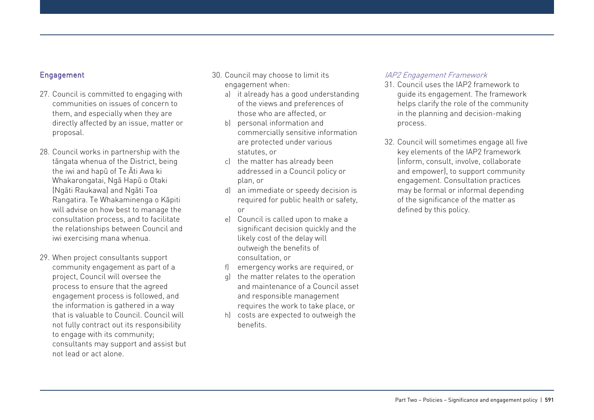#### Engagement

- 27. Council is committed to engaging with communities on issues of concern to them, and especially when they are directly affected by an issue, matter or proposal.
- 28. Council works in partnership with the tāngata whenua of the District, being the iwi and hapū of Te Āti Awa ki Whakarongatai, Ngā Hapū o Otaki (Ngāti Raukawa) and Ngāti Toa Rangatira. Te Whakaminenga o Kāpiti will advise on how best to manage the consultation process, and to facilitate the relationships between Council and iwi exercising mana whenua.
- 29. When project consultants support community engagement as part of a project, Council will oversee the process to ensure that the agreed engagement process is followed, and the information is gathered in a way that is valuable to Council. Council will not fully contract out its responsibility to engage with its community; consultants may support and assist but not lead or act alone.
- 30. Council may choose to limit its engagement when:
	- a) it already has a good understanding of the views and preferences of those who are affected, or
	- b) personal information and commercially sensitive information are protected under various statutes, or
	- c) the matter has already been addressed in a Council policy or plan, or
	- d) an immediate or speedy decision is required for public health or safety, or
	- e) Council is called upon to make a significant decision quickly and the likely cost of the delay will outweigh the benefits of consultation, or
	- f) emergency works are required, or
	- the matter relates to the operation and maintenance of a Council asset and responsible management requires the work to take place, or
	- h) costs are expected to outweigh the benefits.

#### IAP2 Engagement Framework

- 31. Council uses the IAP2 framework to guide its engagement. The framework helps clarify the role of the community in the planning and decision-making process.
- 32. Council will sometimes engage all five key elements of the IAP2 framework (inform, consult, involve, collaborate and empower), to support community engagement. Consultation practices may be formal or informal depending of the significance of the matter as defined by this policy.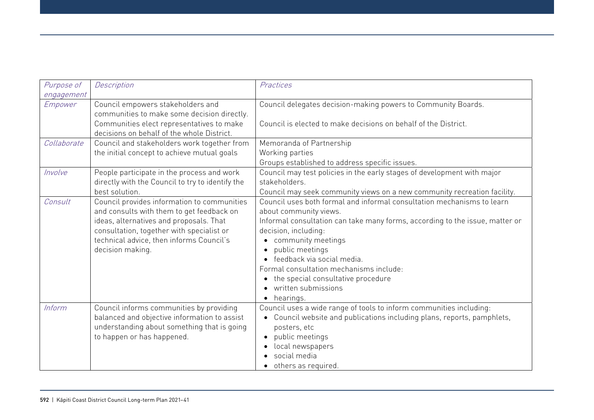| Purpose of<br>engagement | Description                                                                                                                                                                                                                                      | Practices                                                                                                                                                                                                                                                                                                                                                                                                                                                    |
|--------------------------|--------------------------------------------------------------------------------------------------------------------------------------------------------------------------------------------------------------------------------------------------|--------------------------------------------------------------------------------------------------------------------------------------------------------------------------------------------------------------------------------------------------------------------------------------------------------------------------------------------------------------------------------------------------------------------------------------------------------------|
| Empower                  | Council empowers stakeholders and<br>communities to make some decision directly.<br>Communities elect representatives to make<br>decisions on behalf of the whole District.                                                                      | Council delegates decision-making powers to Community Boards.<br>Council is elected to make decisions on behalf of the District.                                                                                                                                                                                                                                                                                                                             |
| Collaborate              | Council and stakeholders work together from<br>the initial concept to achieve mutual goals                                                                                                                                                       | Memoranda of Partnership<br>Working parties<br>Groups established to address specific issues.                                                                                                                                                                                                                                                                                                                                                                |
| Involve                  | People participate in the process and work<br>directly with the Council to try to identify the<br>best solution.                                                                                                                                 | Council may test policies in the early stages of development with major<br>stakeholders.<br>Council may seek community views on a new community recreation facility.                                                                                                                                                                                                                                                                                         |
| Consult                  | Council provides information to communities<br>and consults with them to get feedback on<br>ideas, alternatives and proposals. That<br>consultation, together with specialist or<br>technical advice, then informs Council's<br>decision making. | Council uses both formal and informal consultation mechanisms to learn<br>about community views.<br>Informal consultation can take many forms, according to the issue, matter or<br>decision, including:<br>community meetings<br>$\bullet$<br>public meetings<br>$\bullet$<br>· feedback via social media.<br>Formal consultation mechanisms include:<br>• the special consultative procedure<br>written submissions<br>$\bullet$<br>hearings.<br>$\bullet$ |
| Inform                   | Council informs communities by providing<br>balanced and objective information to assist<br>understanding about something that is going<br>to happen or has happened.                                                                            | Council uses a wide range of tools to inform communities including:<br>Council website and publications including plans, reports, pamphlets,<br>$\bullet$<br>posters, etc<br>public meetings<br>$\bullet$<br>local newspapers<br>$\bullet$<br>social media<br>others as required.                                                                                                                                                                            |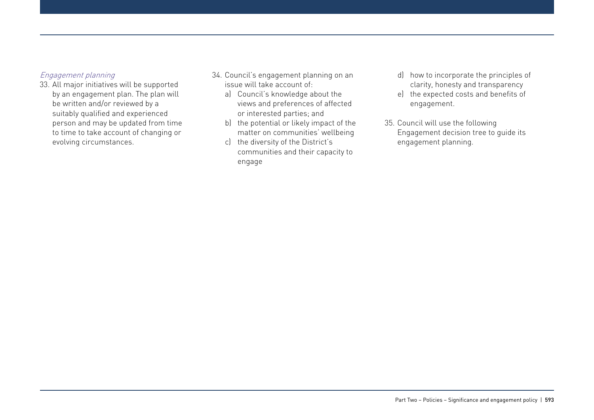#### Engagement planning

- 33. All major initiatives will be supported by an engagement plan. The plan will be written and/or reviewed by a suitably qualified and experienced person and may be updated from time to time to take account of changing or evolving circumstances.
- 34. Council's engagement planning on an issue will take account of:
	- a) Council's knowledge about the views and preferences of affected or interested parties; and
	- b) the potential or likely impact of the matter on communities' wellbeing
	- c) the diversity of the District's communities and their capacity to engage
- d) how to incorporate the principles of clarity, honesty and transparency
- e) the expected costs and benefits of engagement.
- 35. Council will use the following Engagement decision tree to guide its engagement planning.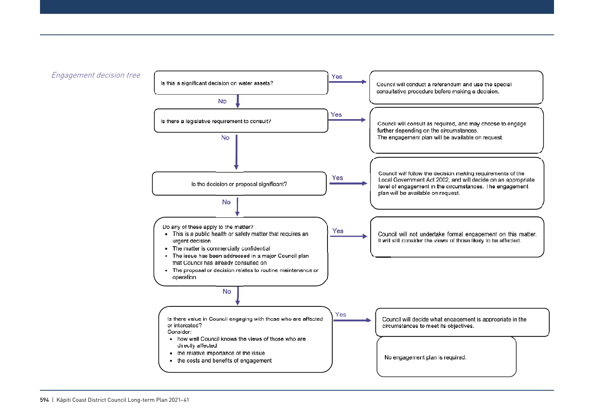

594 | Kāpiti Coast District Council Long-term Plan 2021-41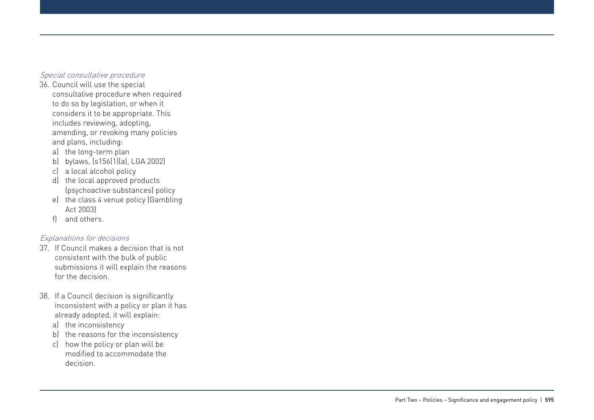#### Special consultative procedure

- 36. Council will use the special consultative procedure when required to do so by legislation, or when it considers it to be appropriate. This includes reviewing, adopting, amending, or revoking many policies and plans, including:
	- a) the long-term plan
	- b) bylaws, (s156(1)(a), LGA 2002)
	- c) a local alcohol policy
	- d) the local approved products (psychoactive substances) policy
	- e) the class 4 venue policy (Gambling Act 2003)
	- f) and others.

#### Explanations for decisions

- 37. If Council makes a decision that is not consistent with the bulk of public submissions it will explain the reasons for the decision.
- 38. If a Council decision is significantly inconsistent with a policy or plan it has already adopted, it will explain:
	- a) the inconsistency
	- b) the reasons for the inconsistency
	- c) how the policy or plan will be modified to accommodate the decision.